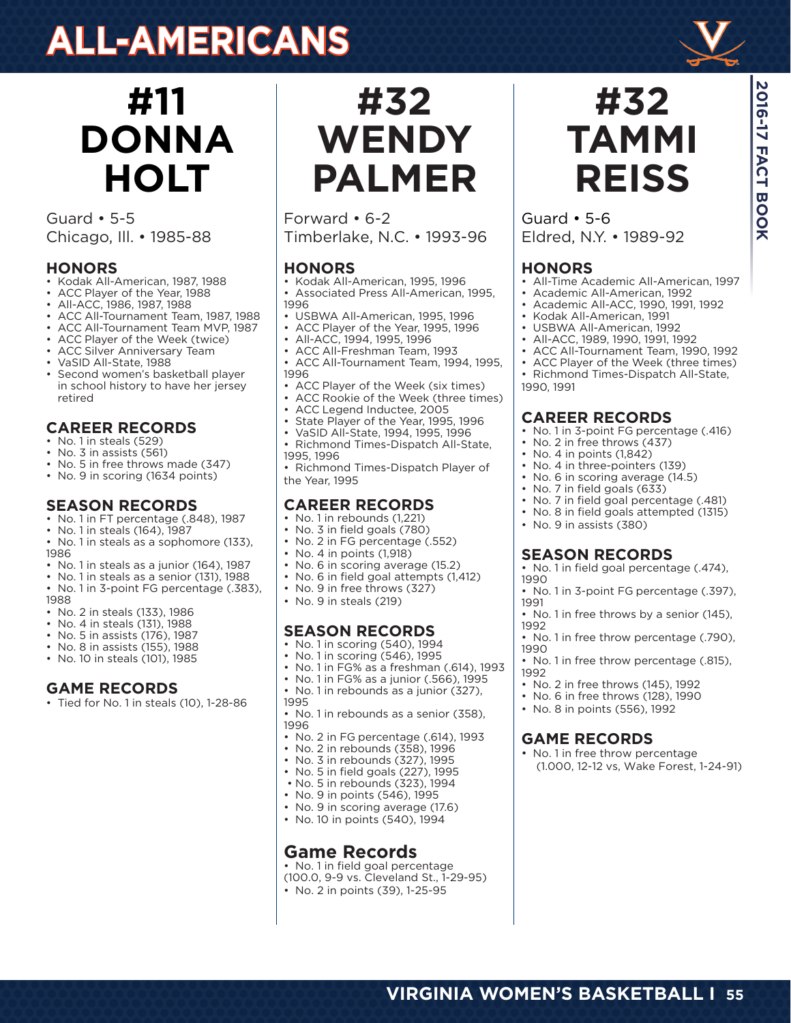# **ALL-AMERICANS**



Guard • 5-5 Chicago, Ill. • 1985-88

#### **HONORS**

- Kodak All-American, 1987, 1988
- ACC Player of the Year, 1988
- All-ACC, 1986, 1987, 1988
- ACC All-Tournament Team, 1987, 1988
- ACC All-Tournament Team MVP, 1987
- ACC Player of the Week (twice)
- ACC Silver Anniversary Team
- VaSID All-State, 1988
- Second women's basketball player in school history to have her jersey retired

#### **CAREER RECORDS**

- No. 1 in steals (529)
- No. 3 in assists (561)
- No. 5 in free throws made (347)
- No. 9 in scoring (1634 points)

#### **SEASON RECORDS**

- No. 1 in FT percentage (.848), 1987
- No. 1 in steals (164), 1987
- No. 1 in steals as a sophomore (133), 1986
- No. 1 in steals as a junior (164), 1987
- No. 1 in steals as a senior (131), 1988
- No. 1 in 3-point FG percentage (.383),
- 1988
- No. 2 in steals (133), 1986
- No. 4 in steals (131), 1988
- No. 5 in assists (176), 1987
- No. 8 in assists (155), 1988 • No. 10 in steals (101), 1985
- 

#### **GAME RECORDS**

• Tied for No. 1 in steals (10), 1-28-86

**#32 WENDY PALMER**

Forward • 6-2 Timberlake, N.C. • 1993-96

#### **HONORS**

- Kodak All-American, 1995, 1996 • Associated Press All-American, 1995, 1996
- USBWA All-American, 1995, 1996
- ACC Player of the Year, 1995, 1996
- All-ACC, 1994, 1995, 1996
- ACC All-Freshman Team, 1993
- ACC All-Tournament Team, 1994, 1995, 1996
- ACC Player of the Week (six times)
- ACC Rookie of the Week (three times)
- ACC Legend Inductee, 2005
- State Player of the Year, 1995, 1996
- VaSID All-State, 1994, 1995, 1996
- Richmond Times-Dispatch All-State, 1995, 1996

• Richmond Times-Dispatch Player of the Year, 1995

#### **CAREER RECORDS**

- No. 1 in rebounds (1,221)
- No. 3 in field goals (780)
- No. 2 in FG percentage (.552)
- No. 4 in points (1,918)
- No. 6 in scoring average (15.2)
- No. 6 in field goal attempts (1,412)
- No. 9 in free throws (327)
- No. 9 in steals (219)

- **SEASON RECORDS**
- No. 1 in scoring (540), 1994
- No. 1 in scoring (546), 1995
- No. 1 in FG% as a freshman (.614), 1993
- No. 1 in FG% as a junior (.566), 1995
- No. 1 in rebounds as a junior (327), 1995

• No. 1 in rebounds as a senior (358), 1996

- No. 2 in FG percentage (.614), 1993
- No. 2 in rebounds (358), 1996
- No. 3 in rebounds (327), 1995
- No. 5 in field goals (227), 1995
- No. 5 in rebounds (323), 1994
- No. 9 in points (546), 1995
- No. 9 in scoring average (17.6)
- No. 10 in points (540), 1994

#### **Game Records**

• No. 1 in field goal percentage (100.0, 9-9 vs. Cleveland St., 1-29-95) • No. 2 in points (39), 1-25-95



**2016-17 FACT BOOK**

**2016-17 FACT BOOK** 

Guard • 5-6 Eldred, N.Y. • 1989-92

#### **HONORS**

- All-Time Academic All-American, 1997
- Academic All-American, 1992
- Academic All-ACC, 1990, 1991, 1992
- Kodak All-American, 1991
- USBWA All-American, 1992
- All-ACC, 1989, 1990, 1991, 1992 • ACC All-Tournament Team, 1990, 1992
- ACC Player of the Week (three times)
- Richmond Times-Dispatch All-State,
- 1990, 1991

#### **CAREER RECORDS**

- No. 1 in 3-point FG percentage (.416)
- No. 2 in free throws (437)
- No. 4 in points (1,842)
- No. 4 in three-pointers (139)
- No. 6 in scoring average (14.5)
- No. 7 in field goals (633)
- No. 7 in field goal percentage (.481) • No. 8 in field goals attempted (1315)
- No. 9 in assists (380)

1992

1990

1992

**VIRGINIA WOMEN'S BASKETBALL I 55**

#### **SEASON RECORDS**

- No. 1 in field goal percentage (.474),
- 1990 • No. 1 in 3-point FG percentage (.397), 1991

• No. 1 in free throws by a senior (145),

• No. 1 in free throw percentage (.790),

• No. 1 in free throw percentage (.815),

• No. 2 in free throws (145), 1992<br>• No. 6 in free throws (128), 1990 • No. 6 in free throws (128), 1990 • No. 8 in points (556), 1992

• No. 1 in free throw percentage

(1.000, 12-12 vs, Wake Forest, 1-24-91)

**GAME RECORDS**